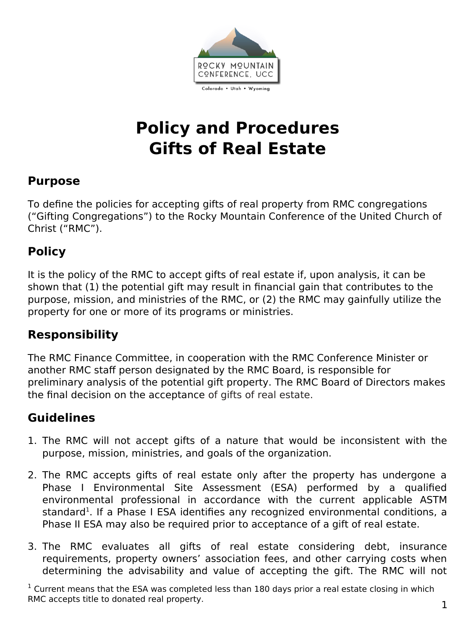

# **Policy and Procedures Gifts of Real Estate**

#### **Purpose**

To define the policies for accepting gifts of real property from RMC congregations ("Gifting Congregations") to the Rocky Mountain Conference of the United Church of Christ ("RMC").

### **Policy**

It is the policy of the RMC to accept gifts of real estate if, upon analysis, it can be shown that (1) the potential gift may result in financial gain that contributes to the purpose, mission, and ministries of the RMC, or (2) the RMC may gainfully utilize the property for one or more of its programs or ministries.

#### **Responsibility**

The RMC Finance Committee, in cooperation with the RMC Conference Minister or another RMC staff person designated by the RMC Board, is responsible for preliminary analysis of the potential gift property. The RMC Board of Directors makes the final decision on the acceptance of gifts of real estate.

## **Guidelines**

- 1. The RMC will not accept gifts of a nature that would be inconsistent with the purpose, mission, ministries, and goals of the organization.
- 2. The RMC accepts gifts of real estate only after the property has undergone a Phase I Environmental Site Assessment (ESA) performed by a qualified environmental professional in accordance with the current applicable ASTM standard<sup>[1](#page-0-1)</sup>. If a Phase I ESA identifies any recognized environmental conditions, a Phase II ESA may also be required prior to acceptance of a gift of real estate.
- <span id="page-0-0"></span>3. The RMC evaluates all gifts of real estate considering debt, insurance requirements, property owners' association fees, and other carrying costs when determining the advisability and value of accepting the gift. The RMC will not

<span id="page-0-1"></span> $1$  Current means that the ESA was completed less than 180 days prior a real estate closing in which RMC accepts title to donated real property. The same state of the set of the set of the set of the set of the set of the set of the set of the set of the set of the set of the set of the set of the set of the set of the se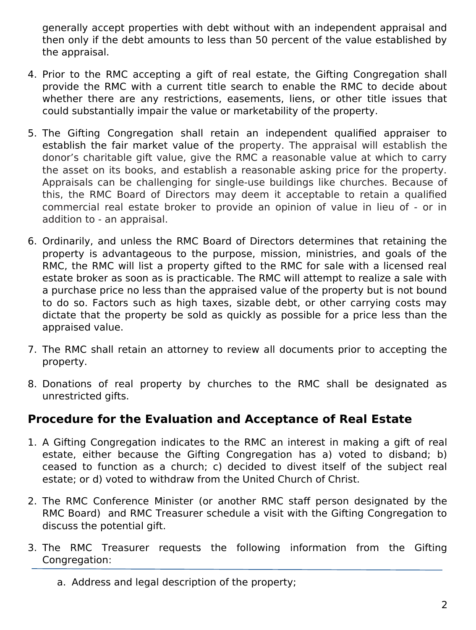generally accept properties with debt without with an independent appraisal and then only if the debt amounts to less than 50 percent of the value established by the appraisal.

- 4. Prior to the RMC accepting a gift of real estate, the Gifting Congregation shall provide the RMC with a current title search to enable the RMC to decide about whether there are any restrictions, easements, liens, or other title issues that could substantially impair the value or marketability of the property.
- 5. The Gifting Congregation shall retain an independent qualified appraiser to establish the fair market value of the property. The appraisal will establish the donor's charitable gift value, give the RMC a reasonable value at which to carry the asset on its books, and establish a reasonable asking price for the property. Appraisals can be challenging for single-use buildings like churches. Because of this, the RMC Board of Directors may deem it acceptable to retain a qualified commercial real estate broker to provide an opinion of value in lieu of - or in addition to - an appraisal.
- 6. Ordinarily, and unless the RMC Board of Directors determines that retaining the property is advantageous to the purpose, mission, ministries, and goals of the RMC, the RMC will list a property gifted to the RMC for sale with a licensed real estate broker as soon as is practicable. The RMC will attempt to realize a sale with a purchase price no less than the appraised value of the property but is not bound to do so. Factors such as high taxes, sizable debt, or other carrying costs may dictate that the property be sold as quickly as possible for a price less than the appraised value.
- 7. The RMC shall retain an attorney to review all documents prior to accepting the property.
- 8. Donations of real property by churches to the RMC shall be designated as unrestricted gifts.

#### **Procedure for the Evaluation and Acceptance of Real Estate**

- 1. A Gifting Congregation indicates to the RMC an interest in making a gift of real estate, either because the Gifting Congregation has a) voted to disband; b) ceased to function as a church; c) decided to divest itself of the subject real estate; or d) voted to withdraw from the United Church of Christ.
- 2. The RMC Conference Minister (or another RMC staff person designated by the RMC Board) and RMC Treasurer schedule a visit with the Gifting Congregation to discuss the potential gift.
- 3. The RMC Treasurer requests the following information from the Gifting Congregation:
	- a. Address and legal description of the property;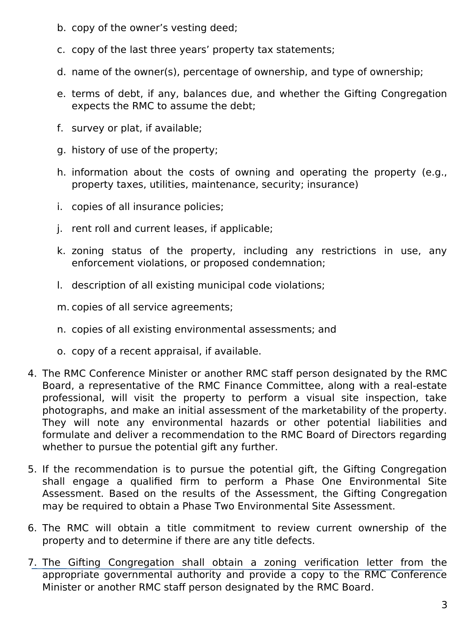- b. copy of the owner's vesting deed;
- c. copy of the last three years' property tax statements;
- d. name of the owner(s), percentage of ownership, and type of ownership;
- e. terms of debt, if any, balances due, and whether the Gifting Congregation expects the RMC to assume the debt;
- f. survey or plat, if available;
- g. history of use of the property;
- h. information about the costs of owning and operating the property (e.g., property taxes, utilities, maintenance, security; insurance)
- i. copies of all insurance policies;
- j. rent roll and current leases, if applicable;
- k. zoning status of the property, including any restrictions in use, any enforcement violations, or proposed condemnation;
- l. description of all existing municipal code violations;
- m. copies of all service agreements;
- n. copies of all existing environmental assessments; and
- o. copy of a recent appraisal, if available.
- 4. The RMC Conference Minister or another RMC staff person designated by the RMC Board, a representative of the RMC Finance Committee, along with a real-estate professional, will visit the property to perform a visual site inspection, take photographs, and make an initial assessment of the marketability of the property. They will note any environmental hazards or other potential liabilities and formulate and deliver a recommendation to the RMC Board of Directors regarding whether to pursue the potential gift any further.
- 5. If the recommendation is to pursue the potential gift, the Gifting Congregation shall engage a qualified firm to perform a Phase One Environmental Site Assessment. Based on the results of the Assessment, the Gifting Congregation may be required to obtain a Phase Two Environmental Site Assessment.
- 6. The RMC will obtain a title commitment to review current ownership of the property and to determine if there are any title defects.
- 7. The Gifting Congregation shall obtain a zoning verification letter from the appropriate governmental authority and provide a copy to the RMC Conference Minister or another RMC staff person designated by the RMC Board.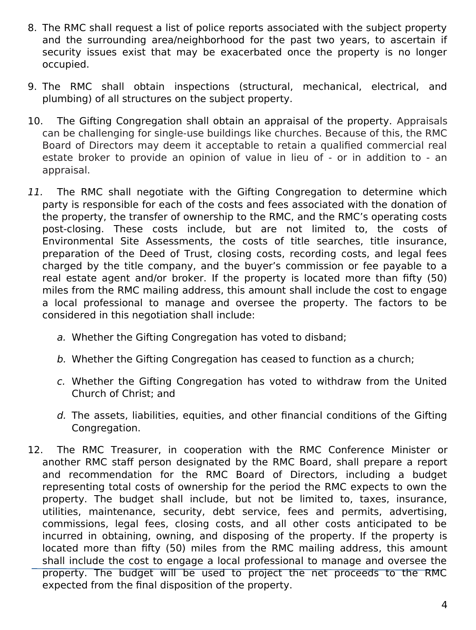- 8. The RMC shall request a list of police reports associated with the subject property and the surrounding area/neighborhood for the past two years, to ascertain if security issues exist that may be exacerbated once the property is no longer occupied.
- 9. The RMC shall obtain inspections (structural, mechanical, electrical, and plumbing) of all structures on the subject property.
- 10. The Gifting Congregation shall obtain an appraisal of the property. Appraisals can be challenging for single-use buildings like churches. Because of this, the RMC Board of Directors may deem it acceptable to retain a qualified commercial real estate broker to provide an opinion of value in lieu of - or in addition to - an appraisal.
- 11. The RMC shall negotiate with the Gifting Congregation to determine which party is responsible for each of the costs and fees associated with the donation of the property, the transfer of ownership to the RMC, and the RMC's operating costs post-closing. These costs include, but are not limited to, the costs of Environmental Site Assessments, the costs of title searches, title insurance, preparation of the Deed of Trust, closing costs, recording costs, and legal fees charged by the title company, and the buyer's commission or fee payable to a real estate agent and/or broker. If the property is located more than fifty (50) miles from the RMC mailing address, this amount shall include the cost to engage a local professional to manage and oversee the property. The factors to be considered in this negotiation shall include:
	- a. Whether the Gifting Congregation has voted to disband;
	- b. Whether the Gifting Congregation has ceased to function as a church;
	- c. Whether the Gifting Congregation has voted to withdraw from the United Church of Christ; and
	- d. The assets, liabilities, equities, and other financial conditions of the Gifting Congregation.
- 12. The RMC Treasurer, in cooperation with the RMC Conference Minister or another RMC staff person designated by the RMC Board, shall prepare a report and recommendation for the RMC Board of Directors, including a budget representing total costs of ownership for the period the RMC expects to own the property. The budget shall include, but not be limited to, taxes, insurance, utilities, maintenance, security, debt service, fees and permits, advertising, commissions, legal fees, closing costs, and all other costs anticipated to be incurred in obtaining, owning, and disposing of the property. If the property is located more than fifty (50) miles from the RMC mailing address, this amount shall include the cost to engage a local professional to manage and oversee the property. The budget will be used to project the net proceeds to the RMC expected from the final disposition of the property.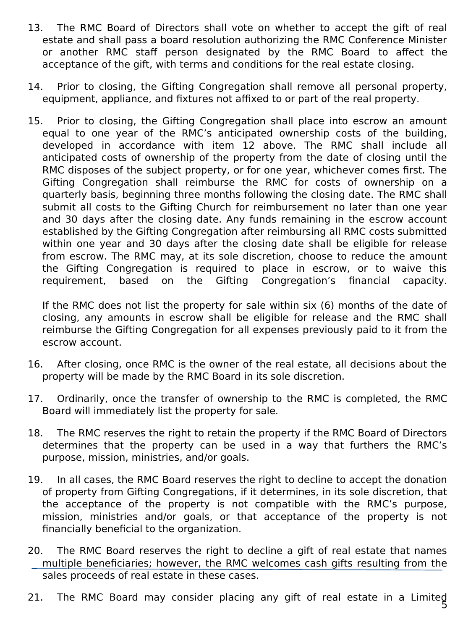- 13. The RMC Board of Directors shall vote on whether to accept the gift of real estate and shall pass a board resolution authorizing the RMC Conference Minister or another RMC staff person designated by the RMC Board to affect the acceptance of the gift, with terms and conditions for the real estate closing.
- 14. Prior to closing, the Gifting Congregation shall remove all personal property, equipment, appliance, and fixtures not affixed to or part of the real property.
- 15. Prior to closing, the Gifting Congregation shall place into escrow an amount equal to one year of the RMC's anticipated ownership costs of the building, developed in accordance with item 12 above. The RMC shall include all anticipated costs of ownership of the property from the date of closing until the RMC disposes of the subject property, or for one year, whichever comes first. The Gifting Congregation shall reimburse the RMC for costs of ownership on a quarterly basis, beginning three months following the closing date. The RMC shall submit all costs to the Gifting Church for reimbursement no later than one year and 30 days after the closing date. Any funds remaining in the escrow account established by the Gifting Congregation after reimbursing all RMC costs submitted within one year and 30 days after the closing date shall be eligible for release from escrow. The RMC may, at its sole discretion, choose to reduce the amount the Gifting Congregation is required to place in escrow, or to waive this requirement, based on the Gifting Congregation's financial capacity.

If the RMC does not list the property for sale within six (6) months of the date of closing, any amounts in escrow shall be eligible for release and the RMC shall reimburse the Gifting Congregation for all expenses previously paid to it from the escrow account.

- 16. After closing, once RMC is the owner of the real estate, all decisions about the property will be made by the RMC Board in its sole discretion.
- 17. Ordinarily, once the transfer of ownership to the RMC is completed, the RMC Board will immediately list the property for sale.
- 18. The RMC reserves the right to retain the property if the RMC Board of Directors determines that the property can be used in a way that furthers the RMC's purpose, mission, ministries, and/or goals.
- 19. In all cases, the RMC Board reserves the right to decline to accept the donation of property from Gifting Congregations, if it determines, in its sole discretion, that the acceptance of the property is not compatible with the RMC's purpose, mission, ministries and/or goals, or that acceptance of the property is not financially beneficial to the organization.
- 20. The RMC Board reserves the right to decline a gift of real estate that names multiple beneficiaries; however, the RMC welcomes cash gifts resulting from the sales proceeds of real estate in these cases.
- 21. The RMC Board may consider placing any gift of real estate in a Limited